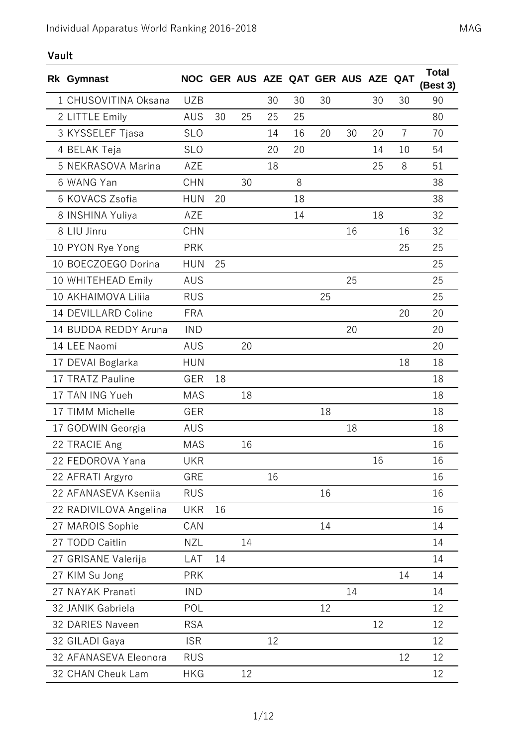## **Vault**

| Rk Gymnast             |            |    |    |    |    | NOC GER AUS AZE QAT GER AUS AZE QAT |    |    |                | <b>Total</b><br>(Best 3) |
|------------------------|------------|----|----|----|----|-------------------------------------|----|----|----------------|--------------------------|
| 1 CHUSOVITINA Oksana   | <b>UZB</b> |    |    | 30 | 30 | 30                                  |    | 30 | 30             | 90                       |
| 2 LITTLE Emily         | <b>AUS</b> | 30 | 25 | 25 | 25 |                                     |    |    |                | 80                       |
| 3 KYSSELEF Tjasa       | <b>SLO</b> |    |    | 14 | 16 | 20                                  | 30 | 20 | $\overline{7}$ | 70                       |
| 4 BELAK Teja           | <b>SLO</b> |    |    | 20 | 20 |                                     |    | 14 | 10             | 54                       |
| 5 NEKRASOVA Marina     | AZE        |    |    | 18 |    |                                     |    | 25 | 8              | 51                       |
| 6 WANG Yan             | <b>CHN</b> |    | 30 |    | 8  |                                     |    |    |                | 38                       |
| 6 KOVACS Zsofia        | <b>HUN</b> | 20 |    |    | 18 |                                     |    |    |                | 38                       |
| 8 INSHINA Yuliya       | AZE        |    |    |    | 14 |                                     |    | 18 |                | 32                       |
| 8 LIU Jinru            | <b>CHN</b> |    |    |    |    |                                     | 16 |    | 16             | 32                       |
| 10 PYON Rye Yong       | <b>PRK</b> |    |    |    |    |                                     |    |    | 25             | 25                       |
| 10 BOECZOEGO Dorina    | <b>HUN</b> | 25 |    |    |    |                                     |    |    |                | 25                       |
| 10 WHITEHEAD Emily     | AUS        |    |    |    |    |                                     | 25 |    |                | 25                       |
| 10 AKHAIMOVA Liliia    | <b>RUS</b> |    |    |    |    | 25                                  |    |    |                | 25                       |
| 14 DEVILLARD Coline    | <b>FRA</b> |    |    |    |    |                                     |    |    | 20             | 20                       |
| 14 BUDDA REDDY Aruna   | <b>IND</b> |    |    |    |    |                                     | 20 |    |                | 20                       |
| 14 LEE Naomi           | <b>AUS</b> |    | 20 |    |    |                                     |    |    |                | 20                       |
| 17 DEVAI Boglarka      | <b>HUN</b> |    |    |    |    |                                     |    |    | 18             | 18                       |
| 17 TRATZ Pauline       | <b>GER</b> | 18 |    |    |    |                                     |    |    |                | 18                       |
| 17 TAN ING Yueh        | <b>MAS</b> |    | 18 |    |    |                                     |    |    |                | 18                       |
| 17 TIMM Michelle       | GER        |    |    |    |    | 18                                  |    |    |                | 18                       |
| 17 GODWIN Georgia      | AUS        |    |    |    |    |                                     | 18 |    |                | 18                       |
| 22 TRACIE Ang          | <b>MAS</b> |    | 16 |    |    |                                     |    |    |                | 16                       |
| 22 FEDOROVA Yana       | <b>UKR</b> |    |    |    |    |                                     |    | 16 |                | 16                       |
| 22 AFRATI Argyro       | GRE        |    |    | 16 |    |                                     |    |    |                | 16                       |
| 22 AFANASEVA Kseniia   | <b>RUS</b> |    |    |    |    | 16                                  |    |    |                | 16                       |
| 22 RADIVILOVA Angelina | <b>UKR</b> | 16 |    |    |    |                                     |    |    |                | 16                       |
| 27 MAROIS Sophie       | CAN        |    |    |    |    | 14                                  |    |    |                | 14                       |
| 27 TODD Caitlin        | <b>NZL</b> |    | 14 |    |    |                                     |    |    |                | 14                       |
| 27 GRISANE Valerija    | LAT        | 14 |    |    |    |                                     |    |    |                | 14                       |
| 27 KIM Su Jong         | <b>PRK</b> |    |    |    |    |                                     |    |    | 14             | 14                       |
| 27 NAYAK Pranati       | <b>IND</b> |    |    |    |    |                                     | 14 |    |                | 14                       |
| 32 JANIK Gabriela      | POL        |    |    |    |    | 12                                  |    |    |                | 12                       |
| 32 DARIES Naveen       | <b>RSA</b> |    |    |    |    |                                     |    | 12 |                | 12                       |
| 32 GILADI Gaya         | <b>ISR</b> |    |    | 12 |    |                                     |    |    |                | 12                       |
| 32 AFANASEVA Eleonora  | <b>RUS</b> |    |    |    |    |                                     |    |    | 12             | 12                       |
| 32 CHAN Cheuk Lam      | <b>HKG</b> |    | 12 |    |    |                                     |    |    |                | 12                       |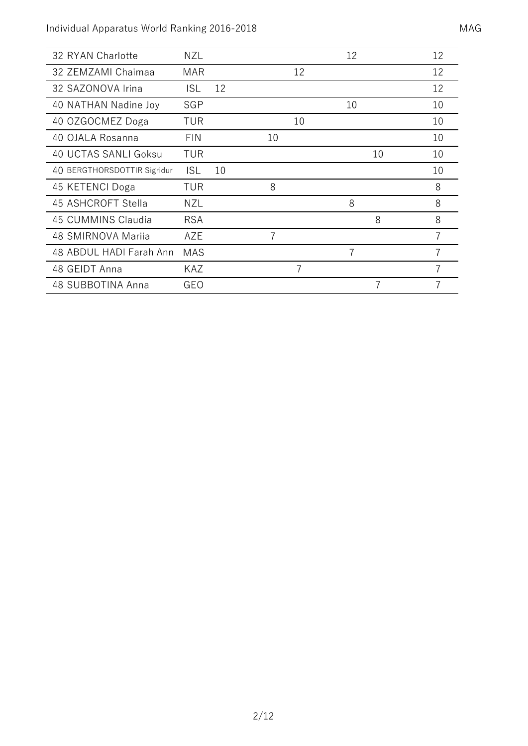| 32 RYAN Charlotte           | <b>NZL</b> |    |    |    | 12 |    | 12 |
|-----------------------------|------------|----|----|----|----|----|----|
| 32 ZEMZAMI Chaimaa          | <b>MAR</b> |    |    | 12 |    |    | 12 |
| 32 SAZONOVA Irina           | ISL        | 12 |    |    |    |    | 12 |
| 40 NATHAN Nadine Joy        | SGP        |    |    |    | 10 |    | 10 |
| 40 OZGOCMEZ Doga            | TUR        |    |    | 10 |    |    | 10 |
| 40 OJALA Rosanna            | <b>FIN</b> |    | 10 |    |    |    | 10 |
| 40 UCTAS SANLI Goksu        | TUR        |    |    |    |    | 10 | 10 |
| 40 BERGTHORSDOTTIR Sigridur | <b>ISL</b> | 10 |    |    |    |    | 10 |
| 45 KETENCI Doga             | TUR        |    | 8  |    |    |    | 8  |
| 45 ASHCROFT Stella          | <b>NZL</b> |    |    |    | 8  |    | 8  |
| 45 CUMMINS Claudia          | <b>RSA</b> |    |    |    |    | 8  | 8  |
| 48 SMIRNOVA Mariia          | AZE        |    |    |    |    |    |    |
| 48 ABDUL HADI Farah Ann     | <b>MAS</b> |    |    |    | 7  |    |    |
| 48 GEIDT Anna               | <b>KAZ</b> |    |    |    |    |    |    |
| 48 SUBBOTINA Anna           | GEO        |    |    |    |    | 7  |    |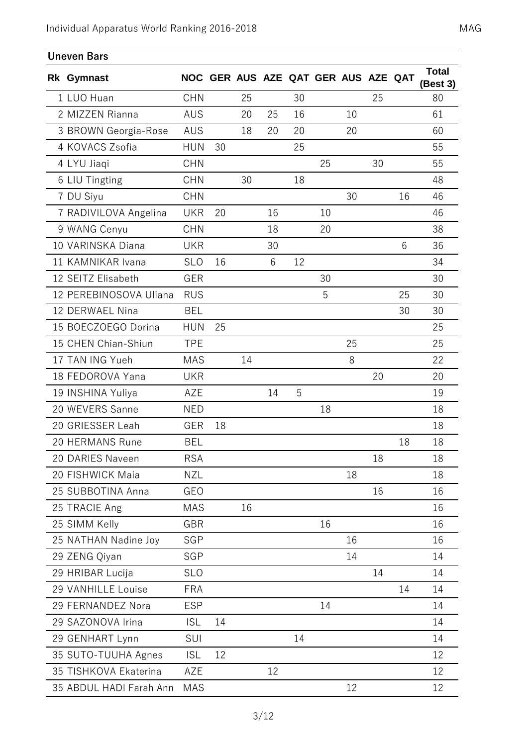| <b>Uneven Bars</b>      |            |    |    |    |    |                                     |    |    |    |                          |
|-------------------------|------------|----|----|----|----|-------------------------------------|----|----|----|--------------------------|
| Rk Gymnast              |            |    |    |    |    | NOC GER AUS AZE QAT GER AUS AZE QAT |    |    |    | <b>Total</b><br>(Best 3) |
| 1 LUO Huan              | <b>CHN</b> |    | 25 |    | 30 |                                     |    | 25 |    | 80                       |
| 2 MIZZEN Rianna         | <b>AUS</b> |    | 20 | 25 | 16 |                                     | 10 |    |    | 61                       |
| 3 BROWN Georgia-Rose    | AUS        |    | 18 | 20 | 20 |                                     | 20 |    |    | 60                       |
| 4 KOVACS Zsofia         | <b>HUN</b> | 30 |    |    | 25 |                                     |    |    |    | 55                       |
| 4 LYU Jiaqi             | <b>CHN</b> |    |    |    |    | 25                                  |    | 30 |    | 55                       |
| 6 LIU Tingting          | <b>CHN</b> |    | 30 |    | 18 |                                     |    |    |    | 48                       |
| 7 DU Siyu               | <b>CHN</b> |    |    |    |    |                                     | 30 |    | 16 | 46                       |
| 7 RADIVILOVA Angelina   | <b>UKR</b> | 20 |    | 16 |    | 10                                  |    |    |    | 46                       |
| 9 WANG Cenyu            | <b>CHN</b> |    |    | 18 |    | 20                                  |    |    |    | 38                       |
| 10 VARINSKA Diana       | <b>UKR</b> |    |    | 30 |    |                                     |    |    | 6  | 36                       |
| 11 KAMNIKAR Ivana       | <b>SLO</b> | 16 |    | 6  | 12 |                                     |    |    |    | 34                       |
| 12 SEITZ Elisabeth      | GER        |    |    |    |    | 30                                  |    |    |    | 30                       |
| 12 PEREBINOSOVA Uliana  | <b>RUS</b> |    |    |    |    | 5                                   |    |    | 25 | 30                       |
| 12 DERWAEL Nina         | <b>BEL</b> |    |    |    |    |                                     |    |    | 30 | 30                       |
| 15 BOECZOEGO Dorina     | <b>HUN</b> | 25 |    |    |    |                                     |    |    |    | 25                       |
| 15 CHEN Chian-Shiun     | <b>TPE</b> |    |    |    |    |                                     | 25 |    |    | 25                       |
| 17 TAN ING Yueh         | <b>MAS</b> |    | 14 |    |    |                                     | 8  |    |    | 22                       |
| 18 FEDOROVA Yana        | <b>UKR</b> |    |    |    |    |                                     |    | 20 |    | 20                       |
| 19 INSHINA Yuliya       | AZE        |    |    | 14 | 5  |                                     |    |    |    | 19                       |
| 20 WEVERS Sanne         | <b>NED</b> |    |    |    |    | 18                                  |    |    |    | 18                       |
| 20 GRIESSER Leah        | GER        | 18 |    |    |    |                                     |    |    |    | 18                       |
| 20 HERMANS Rune         | BEL        |    |    |    |    |                                     |    |    | 18 | 18                       |
| 20 DARIES Naveen        | <b>RSA</b> |    |    |    |    |                                     |    | 18 |    | 18                       |
| 20 FISHWICK Maia        | <b>NZL</b> |    |    |    |    |                                     | 18 |    |    | 18                       |
| 25 SUBBOTINA Anna       | GEO        |    |    |    |    |                                     |    | 16 |    | 16                       |
| 25 TRACIE Ang           | <b>MAS</b> |    | 16 |    |    |                                     |    |    |    | 16                       |
| 25 SIMM Kelly           | GBR        |    |    |    |    | 16                                  |    |    |    | 16                       |
| 25 NATHAN Nadine Joy    | SGP        |    |    |    |    |                                     | 16 |    |    | 16                       |
| 29 ZENG Qiyan           | SGP        |    |    |    |    |                                     | 14 |    |    | 14                       |
| 29 HRIBAR Lucija        | <b>SLO</b> |    |    |    |    |                                     |    | 14 |    | 14                       |
| 29 VANHILLE Louise      | <b>FRA</b> |    |    |    |    |                                     |    |    | 14 | 14                       |
| 29 FERNANDEZ Nora       | <b>ESP</b> |    |    |    |    | 14                                  |    |    |    | 14                       |
| 29 SAZONOVA Irina       | <b>ISL</b> | 14 |    |    |    |                                     |    |    |    | 14                       |
| 29 GENHART Lynn         | SUI        |    |    |    | 14 |                                     |    |    |    | 14                       |
| 35 SUTO-TUUHA Agnes     | <b>ISL</b> | 12 |    |    |    |                                     |    |    |    | 12                       |
| 35 TISHKOVA Ekaterina   | AZE        |    |    | 12 |    |                                     |    |    |    | 12                       |
| 35 ABDUL HADI Farah Ann | <b>MAS</b> |    |    |    |    |                                     | 12 |    |    | 12                       |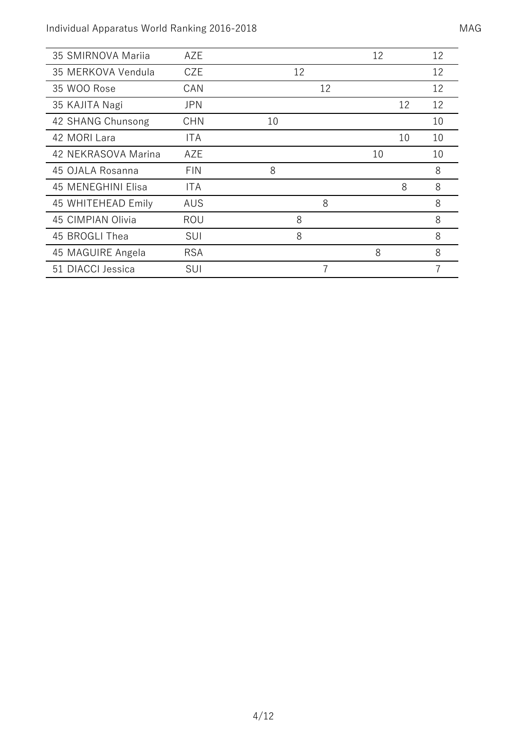| 35 SMIRNOVA Marija  | AZE        |    |    | 12 | 12 |
|---------------------|------------|----|----|----|----|
| 35 MERKOVA Vendula  | <b>CZE</b> | 12 |    |    | 12 |
| 35 WOO Rose         | CAN        |    | 12 |    | 12 |
| 35 KAJITA Nagi      | <b>JPN</b> |    |    | 12 | 12 |
| 42 SHANG Chunsong   | <b>CHN</b> | 10 |    |    | 10 |
| 42 MORI Lara        | ITA        |    |    | 10 | 10 |
| 42 NEKRASOVA Marina | AZE        |    |    | 10 | 10 |
| 45 OJALA Rosanna    | <b>FIN</b> | 8  |    |    | 8  |
| 45 MENEGHINI Elisa  | <b>ITA</b> |    |    | 8  | 8  |
| 45 WHITEHEAD Emily  | AUS        |    | 8  |    | 8  |
| 45 CIMPIAN Olivia   | ROU        | 8  |    |    | 8  |
| 45 BROGLI Thea      | SUI        | 8  |    |    | 8  |
| 45 MAGUIRE Angela   | <b>RSA</b> |    |    | 8  | 8  |
| 51 DIACCI Jessica   | SUI        |    | 7  |    |    |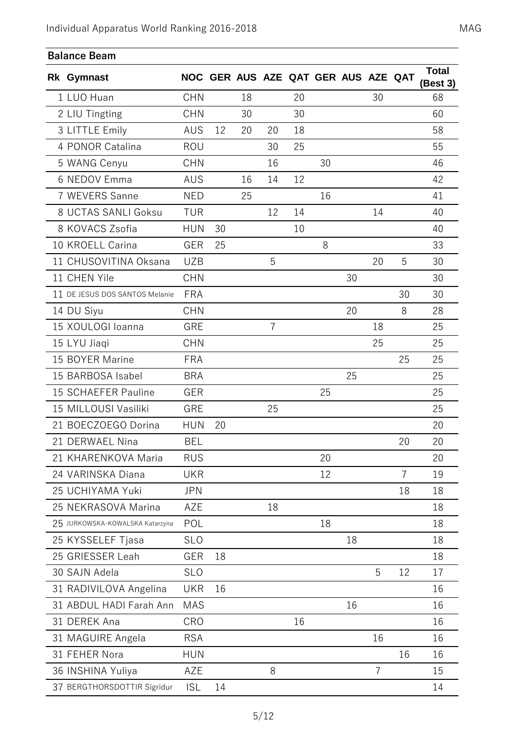| <b>Balance Beam</b>             |            |    |    |    |    |                                     |    |                |                |                          |
|---------------------------------|------------|----|----|----|----|-------------------------------------|----|----------------|----------------|--------------------------|
| <b>Rk Gymnast</b>               |            |    |    |    |    | NOC GER AUS AZE QAT GER AUS AZE QAT |    |                |                | <b>Total</b><br>(Best 3) |
| 1 LUO Huan                      | <b>CHN</b> |    | 18 |    | 20 |                                     |    | 30             |                | 68                       |
| 2 LIU Tingting                  | <b>CHN</b> |    | 30 |    | 30 |                                     |    |                |                | 60                       |
| 3 LITTLE Emily                  | AUS        | 12 | 20 | 20 | 18 |                                     |    |                |                | 58                       |
| 4 PONOR Catalina                | <b>ROU</b> |    |    | 30 | 25 |                                     |    |                |                | 55                       |
| 5 WANG Cenyu                    | <b>CHN</b> |    |    | 16 |    | 30                                  |    |                |                | 46                       |
| 6 NEDOV Emma                    | <b>AUS</b> |    | 16 | 14 | 12 |                                     |    |                |                | 42                       |
| 7 WEVERS Sanne                  | <b>NED</b> |    | 25 |    |    | 16                                  |    |                |                | 41                       |
| 8 UCTAS SANLI Goksu             | <b>TUR</b> |    |    | 12 | 14 |                                     |    | 14             |                | 40                       |
| 8 KOVACS Zsofia                 | <b>HUN</b> | 30 |    |    | 10 |                                     |    |                |                | 40                       |
| 10 KROELL Carina                | <b>GER</b> | 25 |    |    |    | 8                                   |    |                |                | 33                       |
| 11 CHUSOVITINA Oksana           | <b>UZB</b> |    |    | 5  |    |                                     |    | 20             | 5              | 30                       |
| 11 CHEN Yile                    | <b>CHN</b> |    |    |    |    |                                     | 30 |                |                | 30                       |
| 11 DE JESUS DOS SANTOS Melanie  | <b>FRA</b> |    |    |    |    |                                     |    |                | 30             | 30                       |
| 14 DU Siyu                      | <b>CHN</b> |    |    |    |    |                                     | 20 |                | 8              | 28                       |
| 15 XOULOGI Ioanna               | GRE        |    |    | 7  |    |                                     |    | 18             |                | 25                       |
| 15 LYU Jiaqi                    | <b>CHN</b> |    |    |    |    |                                     |    | 25             |                | 25                       |
| 15 BOYER Marine                 | <b>FRA</b> |    |    |    |    |                                     |    |                | 25             | 25                       |
| 15 BARBOSA Isabel               | <b>BRA</b> |    |    |    |    |                                     | 25 |                |                | 25                       |
| 15 SCHAEFER Pauline             | GER        |    |    |    |    | 25                                  |    |                |                | 25                       |
| 15 MILLOUSI Vasiliki            | GRE        |    |    | 25 |    |                                     |    |                |                | 25                       |
| 21 BOECZOEGO Dorina             | <b>HUN</b> | 20 |    |    |    |                                     |    |                |                | 20                       |
| 21 DERWAEL Nina                 | <b>BEL</b> |    |    |    |    |                                     |    |                | 20             | 20                       |
| 21 KHARENKOVA Maria             | <b>RUS</b> |    |    |    |    | 20                                  |    |                |                | 20                       |
| 24 VARINSKA Diana               | <b>UKR</b> |    |    |    |    | 12                                  |    |                | $\overline{7}$ | 19                       |
| 25 UCHIYAMA Yuki                | <b>JPN</b> |    |    |    |    |                                     |    |                | 18             | 18                       |
| 25 NEKRASOVA Marina             | AZE        |    |    | 18 |    |                                     |    |                |                | 18                       |
| 25 JURKOWSKA-KOWALSKA Katarzyna | POL        |    |    |    |    | 18                                  |    |                |                | 18                       |
| 25 KYSSELEF Tjasa               | <b>SLO</b> |    |    |    |    |                                     | 18 |                |                | 18                       |
| 25 GRIESSER Leah                | GER        | 18 |    |    |    |                                     |    |                |                | 18                       |
| 30 SAJN Adela                   | <b>SLO</b> |    |    |    |    |                                     |    | 5              | 12             | 17                       |
| 31 RADIVILOVA Angelina          | <b>UKR</b> | 16 |    |    |    |                                     |    |                |                | 16                       |
| 31 ABDUL HADI Farah Ann         | <b>MAS</b> |    |    |    |    |                                     | 16 |                |                | 16                       |
| 31 DEREK Ana                    | CRO        |    |    |    | 16 |                                     |    |                |                | 16                       |
| 31 MAGUIRE Angela               | <b>RSA</b> |    |    |    |    |                                     |    | 16             |                | 16                       |
| 31 FEHER Nora                   | <b>HUN</b> |    |    |    |    |                                     |    |                | 16             | 16                       |
| 36 INSHINA Yuliya               | AZE        |    |    | 8  |    |                                     |    | $\overline{7}$ |                | 15                       |
| 37 BERGTHORSDOTTIR Sigridur     | <b>ISL</b> | 14 |    |    |    |                                     |    |                |                | 14                       |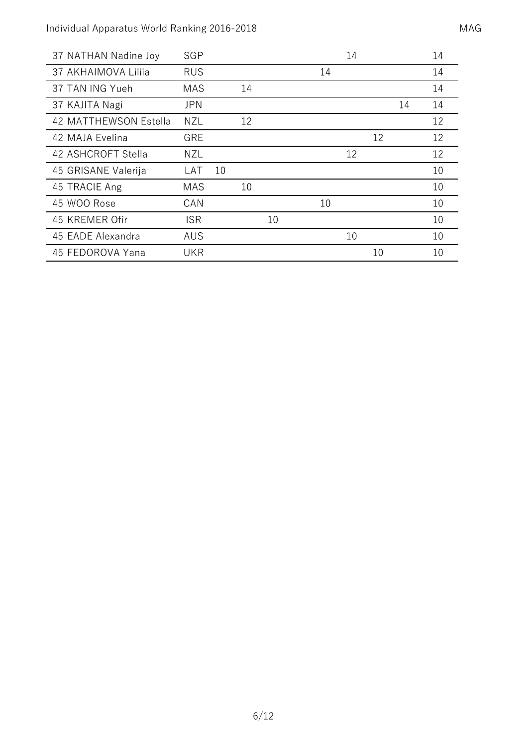| 37 NATHAN Nadine Joy  | SGP        |    |    |    |    | 14 |    |    | 14 |
|-----------------------|------------|----|----|----|----|----|----|----|----|
| 37 AKHAIMOVA Liliia   | <b>RUS</b> |    |    |    | 14 |    |    |    | 14 |
| 37 TAN ING Yueh       | <b>MAS</b> |    | 14 |    |    |    |    |    | 14 |
| 37 KAJITA Nagi        | <b>JPN</b> |    |    |    |    |    |    | 14 | 14 |
| 42 MATTHEWSON Estella | NZL        |    | 12 |    |    |    |    |    | 12 |
| 42 MAJA Evelina       | <b>GRE</b> |    |    |    |    |    | 12 |    | 12 |
| 42 ASHCROFT Stella    | NZL        |    |    |    |    | 12 |    |    | 12 |
| 45 GRISANE Valerija   | LAT        | 10 |    |    |    |    |    |    | 10 |
| 45 TRACIE Ang         | <b>MAS</b> |    | 10 |    |    |    |    |    | 10 |
| 45 WOO Rose           | CAN        |    |    |    | 10 |    |    |    | 10 |
| 45 KREMER Ofir        | <b>ISR</b> |    |    | 10 |    |    |    |    | 10 |
| 45 EADE Alexandra     | <b>AUS</b> |    |    |    |    | 10 |    |    | 10 |
| 45 FEDOROVA Yana      | <b>UKR</b> |    |    |    |    |    | 10 |    | 10 |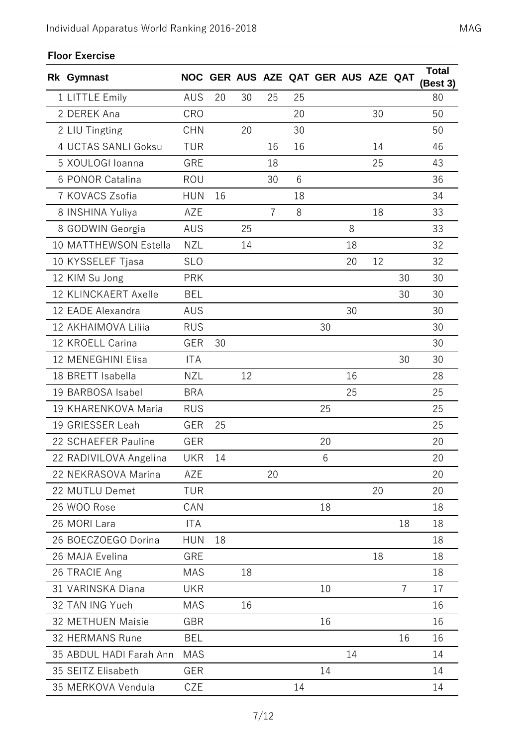| <b>Floor Exercise</b>   |            |    |    |                |    |                                     |    |    |                |                          |
|-------------------------|------------|----|----|----------------|----|-------------------------------------|----|----|----------------|--------------------------|
| <b>Rk Gymnast</b>       |            |    |    |                |    | NOC GER AUS AZE QAT GER AUS AZE QAT |    |    |                | <b>Total</b><br>(Best 3) |
| 1 LITTLE Emily          | AUS        | 20 | 30 | 25             | 25 |                                     |    |    |                | 80                       |
| 2 DEREK Ana             | CRO        |    |    |                | 20 |                                     |    | 30 |                | 50                       |
| 2 LIU Tingting          | <b>CHN</b> |    | 20 |                | 30 |                                     |    |    |                | 50                       |
| 4 UCTAS SANLI Goksu     | <b>TUR</b> |    |    | 16             | 16 |                                     |    | 14 |                | 46                       |
| 5 XOULOGI Ioanna        | GRE        |    |    | 18             |    |                                     |    | 25 |                | 43                       |
| 6 PONOR Catalina        | ROU        |    |    | 30             | 6  |                                     |    |    |                | 36                       |
| 7 KOVACS Zsofia         | <b>HUN</b> | 16 |    |                | 18 |                                     |    |    |                | 34                       |
| 8 INSHINA Yuliya        | AZE        |    |    | $\overline{7}$ | 8  |                                     |    | 18 |                | 33                       |
| 8 GODWIN Georgia        | <b>AUS</b> |    | 25 |                |    |                                     | 8  |    |                | 33                       |
| 10 MATTHEWSON Estella   | <b>NZL</b> |    | 14 |                |    |                                     | 18 |    |                | 32                       |
| 10 KYSSELEF Tjasa       | <b>SLO</b> |    |    |                |    |                                     | 20 | 12 |                | 32                       |
| 12 KIM Su Jong          | <b>PRK</b> |    |    |                |    |                                     |    |    | 30             | 30                       |
| 12 KLINCKAERT Axelle    | <b>BEL</b> |    |    |                |    |                                     |    |    | 30             | 30                       |
| 12 EADE Alexandra       | AUS        |    |    |                |    |                                     | 30 |    |                | 30                       |
| 12 AKHAIMOVA Liliia     | <b>RUS</b> |    |    |                |    | 30                                  |    |    |                | 30                       |
| 12 KROELL Carina        | GER        | 30 |    |                |    |                                     |    |    |                | 30                       |
| 12 MENEGHINI Elisa      | <b>ITA</b> |    |    |                |    |                                     |    |    | 30             | 30                       |
| 18 BRETT Isabella       | <b>NZL</b> |    | 12 |                |    |                                     | 16 |    |                | 28                       |
| 19 BARBOSA Isabel       | <b>BRA</b> |    |    |                |    |                                     | 25 |    |                | 25                       |
| 19 KHARENKOVA Maria     | <b>RUS</b> |    |    |                |    | 25                                  |    |    |                | 25                       |
| 19 GRIESSER Leah        | GER        | 25 |    |                |    |                                     |    |    |                | 25                       |
| 22 SCHAEFER Pauline     | GER        |    |    |                |    | 20                                  |    |    |                | 20                       |
| 22 RADIVILOVA Angelina  | <b>UKR</b> | 14 |    |                |    | 6                                   |    |    |                | 20                       |
| 22 NEKRASOVA Marina     | AZE        |    |    | 20             |    |                                     |    |    |                | 20                       |
| 22 MUTLU Demet          | <b>TUR</b> |    |    |                |    |                                     |    | 20 |                | 20                       |
| 26 WOO Rose             | CAN        |    |    |                |    | 18                                  |    |    |                | 18                       |
| 26 MORI Lara            | <b>ITA</b> |    |    |                |    |                                     |    |    | 18             | 18                       |
| 26 BOECZOEGO Dorina     | <b>HUN</b> | 18 |    |                |    |                                     |    |    |                | 18                       |
| 26 MAJA Evelina         | GRE        |    |    |                |    |                                     |    | 18 |                | 18                       |
| 26 TRACIE Ang           | <b>MAS</b> |    | 18 |                |    |                                     |    |    |                | 18                       |
| 31 VARINSKA Diana       | <b>UKR</b> |    |    |                |    | 10                                  |    |    | $\overline{7}$ | 17                       |
| 32 TAN ING Yueh         | <b>MAS</b> |    | 16 |                |    |                                     |    |    |                | 16                       |
| 32 METHUEN Maisie       | GBR        |    |    |                |    | 16                                  |    |    |                | 16                       |
| 32 HERMANS Rune         | BEL        |    |    |                |    |                                     |    |    | 16             | 16                       |
| 35 ABDUL HADI Farah Ann | <b>MAS</b> |    |    |                |    |                                     | 14 |    |                | 14                       |
| 35 SEITZ Elisabeth      | GER        |    |    |                |    | 14                                  |    |    |                | 14                       |
| 35 MERKOVA Vendula      | <b>CZE</b> |    |    |                | 14 |                                     |    |    |                | 14                       |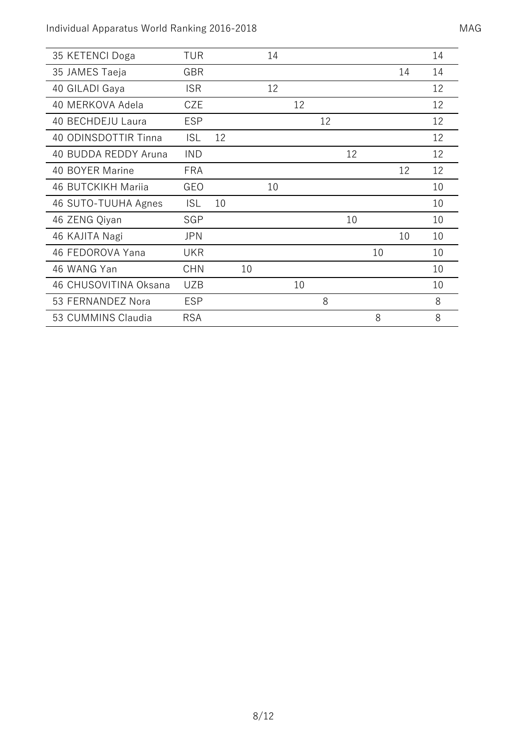| 35 KETENCI Doga       | TUR        |    |    | 14 |    |    |    |    |    | 14 |
|-----------------------|------------|----|----|----|----|----|----|----|----|----|
| 35 JAMES Taeja        | GBR        |    |    |    |    |    |    |    | 14 | 14 |
| 40 GILADI Gaya        | <b>ISR</b> |    |    | 12 |    |    |    |    |    | 12 |
| 40 MERKOVA Adela      | CZE        |    |    |    | 12 |    |    |    |    | 12 |
| 40 BECHDEJU Laura     | <b>ESP</b> |    |    |    |    | 12 |    |    |    | 12 |
| 40 ODINSDOTTIR Tinna  | <b>ISL</b> | 12 |    |    |    |    |    |    |    | 12 |
| 40 BUDDA REDDY Aruna  | <b>IND</b> |    |    |    |    |    | 12 |    |    | 12 |
| 40 BOYER Marine       | <b>FRA</b> |    |    |    |    |    |    |    | 12 | 12 |
| 46 BUTCKIKH Mariia    | GEO        |    |    | 10 |    |    |    |    |    | 10 |
| 46 SUTO-TUUHA Agnes   | <b>ISL</b> | 10 |    |    |    |    |    |    |    | 10 |
| 46 ZENG Qiyan         | SGP        |    |    |    |    |    | 10 |    |    | 10 |
| 46 KAJITA Nagi        | <b>JPN</b> |    |    |    |    |    |    |    | 10 | 10 |
| 46 FEDOROVA Yana      | <b>UKR</b> |    |    |    |    |    |    | 10 |    | 10 |
| 46 WANG Yan           | <b>CHN</b> |    | 10 |    |    |    |    |    |    | 10 |
| 46 CHUSOVITINA Oksana | <b>UZB</b> |    |    |    | 10 |    |    |    |    | 10 |
| 53 FERNANDEZ Nora     | <b>ESP</b> |    |    |    |    | 8  |    |    |    | 8  |
| 53 CUMMINS Claudia    | <b>RSA</b> |    |    |    |    |    |    | 8  |    | 8  |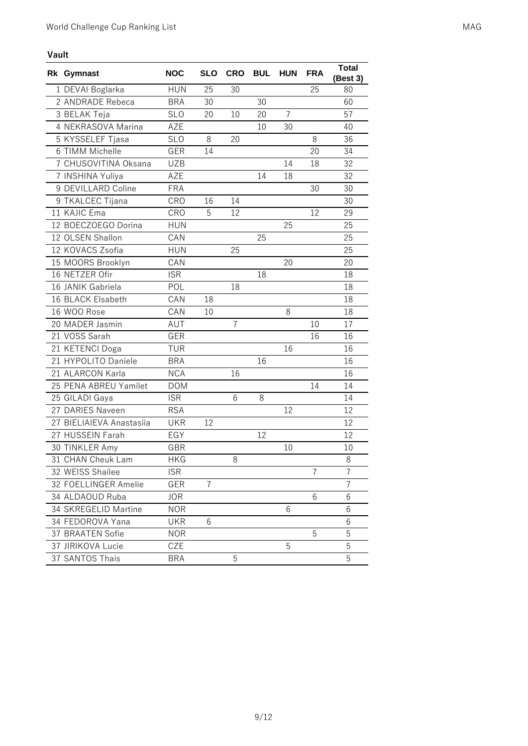| Vault |                          |            |            |            |            |                |                |                          |
|-------|--------------------------|------------|------------|------------|------------|----------------|----------------|--------------------------|
|       | Rk Gymnast               | <b>NOC</b> | <b>SLO</b> | <b>CRO</b> | <b>BUL</b> | <b>HUN</b>     | <b>FRA</b>     | <b>Total</b><br>(Best 3) |
|       | 1 DEVAI Boglarka         | <b>HUN</b> | 25         | 30         |            |                | 25             | 80                       |
|       | 2 ANDRADE Rebeca         | <b>BRA</b> | 30         |            | 30         |                |                | 60                       |
|       | 3 BELAK Teja             | <b>SLO</b> | 20         | 10         | 20         | $\overline{7}$ |                | 57                       |
|       | 4 NEKRASOVA Marina       | AZE        |            |            | 10         | 30             |                | 40                       |
|       | 5 KYSSELEF Tjasa         | <b>SLO</b> | 8          | 20         |            |                | 8              | 36                       |
|       | 6 TIMM Michelle          | <b>GER</b> | 14         |            |            |                | 20             | 34                       |
|       | 7 CHUSOVITINA Oksana     | <b>UZB</b> |            |            |            | 14             | 18             | 32                       |
|       | 7 INSHINA Yuliya         | <b>AZE</b> |            |            | 14         | 18             |                | 32                       |
|       | 9 DEVILLARD Coline       | <b>FRA</b> |            |            |            |                | 30             | 30                       |
|       | 9 TKALCEC Tijana         | CRO        | 16         | 14         |            |                |                | 30                       |
|       | 11 KAJIC Ema             | CRO        | 5          | 12         |            |                | 12             | 29                       |
|       | 12 BOECZOEGO Dorina      | <b>HUN</b> |            |            |            | 25             |                | 25                       |
|       | 12 OLSEN Shallon         | CAN        |            |            | 25         |                |                | 25                       |
|       | 12 KOVACS Zsofia         | <b>HUN</b> |            | 25         |            |                |                | 25                       |
|       | 15 MOORS Brooklyn        | CAN        |            |            |            | 20             |                | 20                       |
|       | 16 NETZER Ofir           | <b>ISR</b> |            |            | 18         |                |                | 18                       |
|       | 16 JANIK Gabriela        | POL        |            | 18         |            |                |                | 18                       |
|       | 16 BLACK Elsabeth        | CAN        | 18         |            |            |                |                | 18                       |
|       | 16 WOO Rose              | CAN        | 10         |            |            | 8              |                | 18                       |
|       | 20 MADER Jasmin          | AUT        |            | 7          |            |                | 10             | 17                       |
|       | 21 VOSS Sarah            | <b>GER</b> |            |            |            |                | 16             | 16                       |
|       | 21 KETENCI Doga          | <b>TUR</b> |            |            |            | 16             |                | 16                       |
|       | 21 HYPOLITO Daniele      | <b>BRA</b> |            |            | 16         |                |                | 16                       |
|       | 21 ALARCON Karla         | <b>NCA</b> |            | 16         |            |                |                | 16                       |
|       | 25 PENA ABREU Yamilet    | <b>DOM</b> |            |            |            |                | 14             | 14                       |
|       | 25 GILADI Gaya           | <b>ISR</b> |            | 6          | 8          |                |                | 14                       |
|       | 27 DARIES Naveen         | <b>RSA</b> |            |            |            | 12             |                | 12                       |
|       | 27 BIELIAIEVA Anastasiia | <b>UKR</b> | 12         |            |            |                |                | 12                       |
|       | 27 HUSSEIN Farah         | EGY        |            |            | 12         |                |                | 12                       |
|       | 30 TINKLER Amy           | GBK        |            |            |            | 10             |                | 10                       |
|       | 31 CHAN Cheuk Lam        | <b>HKG</b> |            | 8          |            |                |                | 8                        |
|       | 32 WEISS Shailee         | <b>ISR</b> |            |            |            |                | $\overline{7}$ | $\overline{7}$           |
|       | 32 FOELLINGER Amelie     | GER        | 7          |            |            |                |                | $\overline{7}$           |
|       | 34 ALDAOUD Ruba          | <b>JOR</b> |            |            |            |                | 6              | 6                        |
|       | 34 SKREGELID Martine     | <b>NOR</b> |            |            |            | 6              |                | 6                        |
|       | 34 FEDOROVA Yana         | <b>UKR</b> | 6          |            |            |                |                | 6                        |
|       | 37 BRAATEN Sofie         | <b>NOR</b> |            |            |            |                | 5              | 5                        |
|       | 37 JIRIKOVA Lucie        | CZE        |            |            |            | 5              |                | 5                        |
|       | 37 SANTOS Thais          | <b>BRA</b> |            | 5          |            |                |                | 5                        |

 $\overline{\phantom{0}}$ J. ÷.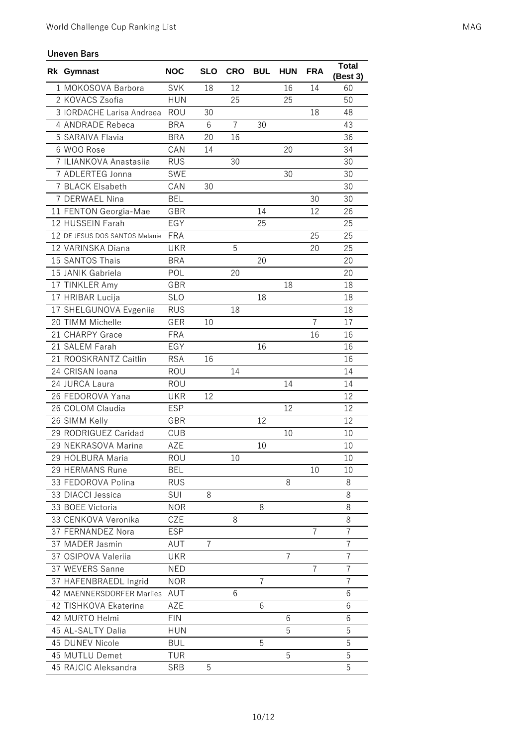## **Uneven Bars**

| Rk Gymnast                     | <b>NOC</b> | <b>SLO</b> | <b>CRO</b> | <b>BUL</b> | <b>HUN</b>     | <b>FRA</b> | <b>Total</b><br>(Best 3) |
|--------------------------------|------------|------------|------------|------------|----------------|------------|--------------------------|
| 1 MOKOSOVA Barbora             | <b>SVK</b> | 18         | 12         |            | 16             | 14         | 60                       |
| 2 KOVACS Zsofia                | <b>HUN</b> |            | 25         |            | 25             |            | 50                       |
| 3 IORDACHE Larisa Andreea      | ROU        | 30         |            |            |                | 18         | 48                       |
| 4 ANDRADE Rebeca               | <b>BRA</b> | 6          | 7          | 30         |                |            | 43                       |
| 5 SARAIVA Flavia               | <b>BRA</b> | 20         | 16         |            |                |            | 36                       |
| 6 WOO Rose                     | CAN        | 14         |            |            | 20             |            | 34                       |
| 7 ILIANKOVA Anastasiia         | <b>RUS</b> |            | 30         |            |                |            | 30                       |
| 7 ADLERTEG Jonna               | <b>SWE</b> |            |            |            | 30             |            | 30                       |
| 7 BLACK Elsabeth               | CAN        | 30         |            |            |                |            | 30                       |
| 7 DERWAEL Nina                 | <b>BEL</b> |            |            |            |                | 30         | 30                       |
| 11 FENTON Georgia-Mae          | GBR        |            |            | 14         |                | 12         | 26                       |
| 12 HUSSEIN Farah               | EGY        |            |            | 25         |                |            | 25                       |
| 12 DE JESUS DOS SANTOS Melanie | <b>FRA</b> |            |            |            |                | 25         | 25                       |
| 12 VARINSKA Diana              | <b>UKR</b> |            | 5          |            |                | 20         | 25                       |
| 15 SANTOS Thais                | <b>BRA</b> |            |            | 20         |                |            | 20                       |
| 15 JANIK Gabriela              | POL        |            | 20         |            |                |            | 20                       |
| 17 TINKLER Amy                 | GBR        |            |            |            | 18             |            | 18                       |
| 17 HRIBAR Lucija               | <b>SLO</b> |            |            | 18         |                |            | 18                       |
| 17 SHELGUNOVA Evgeniia         | <b>RUS</b> |            | 18         |            |                |            | 18                       |
| 20 TIMM Michelle               | <b>GER</b> | 10         |            |            |                | 7          | 17                       |
| 21 CHARPY Grace                | <b>FRA</b> |            |            |            |                | 16         | 16                       |
| 21 SALEM Farah                 | EGY        |            |            | 16         |                |            | 16                       |
| 21 ROOSKRANTZ Caitlin          | <b>RSA</b> | 16         |            |            |                |            | 16                       |
| 24 CRISAN Ioana                | ROU        |            | 14         |            |                |            | 14                       |
| 24 JURCA Laura                 | ROU        |            |            |            | 14             |            | 14                       |
| 26 FEDOROVA Yana               | <b>UKR</b> | 12         |            |            |                |            | 12                       |
| 26 COLOM Claudia               | <b>ESP</b> |            |            |            | 12             |            | 12                       |
| 26 SIMM Kelly                  | <b>GBR</b> |            |            | 12         |                |            | 12                       |
| 29 RODRIGUEZ Caridad           | <b>CUB</b> |            |            |            | 10             |            | 10                       |
| 29 NEKRASOVA Marina            | AZE        |            |            | 10         |                |            | 10                       |
| 29 HOLBURA Maria               | <b>ROU</b> |            | 10         |            |                |            | 10                       |
| 29 HERMANS Rune                | BEL        |            |            |            |                | 10         | 10                       |
| 33 FEDOROVA Polina             | <b>RUS</b> |            |            |            | 8              |            | 8                        |
| 33 DIACCI Jessica              | SUI        | 8          |            |            |                |            | 8                        |
| 33 BOEE Victoria               | <b>NOR</b> |            |            | 8          |                |            | 8                        |
| 33 CENKOVA Veronika            | CZE        |            | 8          |            |                |            | 8                        |
| 37 FERNANDEZ Nora              | <b>ESP</b> |            |            |            |                | 7          | 7                        |
| 37 MADER Jasmin                | AUT        | 7          |            |            |                |            | 7                        |
| 37 OSIPOVA Valeriia            | <b>UKR</b> |            |            |            | $\overline{7}$ |            | 7                        |
| 37 WEVERS Sanne                | <b>NED</b> |            |            |            |                | 7          | 7                        |
| 37 HAFENBRAEDL Ingrid          | <b>NOR</b> |            |            | 7          |                |            | $\overline{7}$           |
| 42 MAENNERSDORFER Marlies      | AUT        |            | 6          |            |                |            | 6                        |
| 42 TISHKOVA Ekaterina          | AZE        |            |            | 6          |                |            | 6                        |
| 42 MURTO Helmi                 | <b>FIN</b> |            |            |            | 6              |            | 6                        |
| 45 AL-SALTY Dalia              | <b>HUN</b> |            |            |            | 5              |            | 5                        |
| 45 DUNEV Nicole                | <b>BUL</b> |            |            | 5          |                |            | 5                        |
| 45 MUTLU Demet                 | <b>TUR</b> |            |            |            | 5              |            | 5                        |
| 45 RAJCIC Aleksandra           | <b>SRB</b> | 5          |            |            |                |            | 5                        |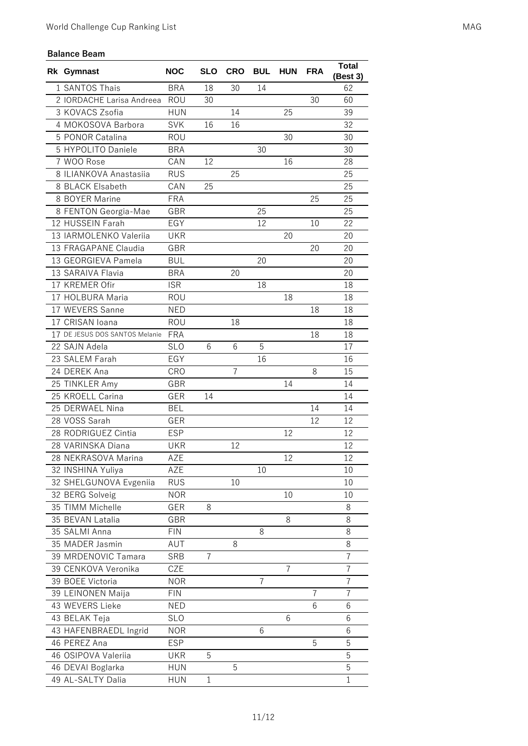## **Balance Beam**

| Rk Gymnast                     | <b>NOC</b> | <b>SLO</b>     | <b>CRO</b> | <b>BUL</b> | <b>HUN</b>     | <b>FRA</b>     | Total<br>(Best 3) |
|--------------------------------|------------|----------------|------------|------------|----------------|----------------|-------------------|
| 1 SANTOS Thais                 | <b>BRA</b> | 18             | 30         | 14         |                |                | 62                |
| 2 IORDACHE Larisa Andreea      | ROU        | 30             |            |            |                | 30             | 60                |
| 3 KOVACS Zsofia                | <b>HUN</b> |                | 14         |            | 25             |                | 39                |
| 4 MOKOSOVA Barbora             | <b>SVK</b> | 16             | 16         |            |                |                | 32                |
| 5 PONOR Catalina               | ROU        |                |            |            | 30             |                | 30                |
| 5 HYPOLITO Daniele             | <b>BRA</b> |                |            | 30         |                |                | 30                |
| 7 WOO Rose                     | CAN        | 12             |            |            | 16             |                | 28                |
| 8 ILIANKOVA Anastasiia         | <b>RUS</b> |                | 25         |            |                |                | 25                |
| 8 BLACK Elsabeth               | CAN        | 25             |            |            |                |                | 25                |
| 8 BOYER Marine                 | <b>FRA</b> |                |            |            |                | 25             | 25                |
| 8 FENTON Georgia-Mae           | GBR        |                |            | 25         |                |                | 25                |
| 12 HUSSEIN Farah               | EGY        |                |            | 12         |                | 10             | 22                |
| 13 IARMOLENKO Valeriia         | <b>UKR</b> |                |            |            | 20             |                | 20                |
| 13 FRAGAPANE Claudia           | <b>GBR</b> |                |            |            |                | 20             | 20                |
| 13 GEORGIEVA Pamela            | <b>BUL</b> |                |            | 20         |                |                | 20                |
| 13 SARAIVA Flavia              | <b>BRA</b> |                | 20         |            |                |                | 20                |
| 17 KREMER Ofir                 | <b>ISR</b> |                |            | 18         |                |                | 18                |
| 17 HOLBURA Maria               | ROU        |                |            |            | 18             |                | 18                |
| 17 WEVERS Sanne                | <b>NED</b> |                |            |            |                | 18             | 18                |
| 17 CRISAN Ioana                | <b>ROU</b> |                | 18         |            |                |                | 18                |
| 17 DE JESUS DOS SANTOS Melanie | <b>FRA</b> |                |            |            |                | 18             | 18                |
| 22 SAJN Adela                  | <b>SLO</b> | 6              | 6          | 5          |                |                | 17                |
| 23 SALEM Farah                 | EGY        |                |            | 16         |                |                | 16                |
| 24 DEREK Ana                   | CRO        |                | 7          |            |                | 8              | 15                |
| 25 TINKLER Amy                 | GBR        |                |            |            | 14             |                | 14                |
| 25 KROELL Carina               | GER        | 14             |            |            |                |                | 14                |
| 25 DERWAEL Nina                | <b>BEL</b> |                |            |            |                | 14             | 14                |
| 28 VOSS Sarah                  | GER        |                |            |            |                | 12             | 12                |
| 28 RODRIGUEZ Cintia            | <b>ESP</b> |                |            |            | 12             |                | 12                |
| 28 VARINSKA Diana              | <b>UKR</b> |                | 12         |            |                |                | 12                |
| 28 NEKRASOVA Marina            | AZE        |                |            |            | 12             |                | 12                |
| 32 INSHINA Yuliya              | AZE        |                |            | 10         |                |                | 10                |
| 32 SHELGUNOVA Evgeniia         | <b>RUS</b> |                | 10         |            |                |                | 10                |
| 32 BERG Solveig                | <b>NOR</b> |                |            |            | 10             |                | 10                |
| 35 TIMM Michelle               | GER        | 8              |            |            |                |                | 8                 |
| 35 BEVAN Latalia               | GBR        |                |            |            | 8              |                | 8                 |
| 35 SALMI Anna                  | <b>FIN</b> |                |            | 8          |                |                | 8                 |
| 35 MADER Jasmin                | AUT        |                | 8          |            |                |                | 8                 |
| 39 MRDENOVIC Tamara            | <b>SRB</b> | $\overline{7}$ |            |            |                |                | $\overline{7}$    |
| 39 CENKOVA Veronika            | CZE        |                |            |            | $\overline{7}$ |                | $\overline{7}$    |
| 39 BOEE Victoria               | <b>NOR</b> |                |            | 7          |                |                | 7                 |
| 39 LEINONEN Maija              | <b>FIN</b> |                |            |            |                | $\overline{7}$ | $\overline{7}$    |
| 43 WEVERS Lieke                | <b>NED</b> |                |            |            |                | 6              | 6                 |
| 43 BELAK Teja                  | <b>SLO</b> |                |            |            | 6              |                | 6                 |
| 43 HAFENBRAEDL Ingrid          | <b>NOR</b> |                |            | 6          |                |                | 6                 |
| 46 PEREZ Ana                   | <b>ESP</b> |                |            |            |                | 5              | 5                 |
| 46 OSIPOVA Valeriia            | <b>UKR</b> | 5              |            |            |                |                | 5                 |
| 46 DEVAI Boglarka              | <b>HUN</b> |                | 5          |            |                |                | 5                 |
| 49 AL-SALTY Dalia              | <b>HUN</b> | $\mathbf 1$    |            |            |                |                | $\mathbf 1$       |